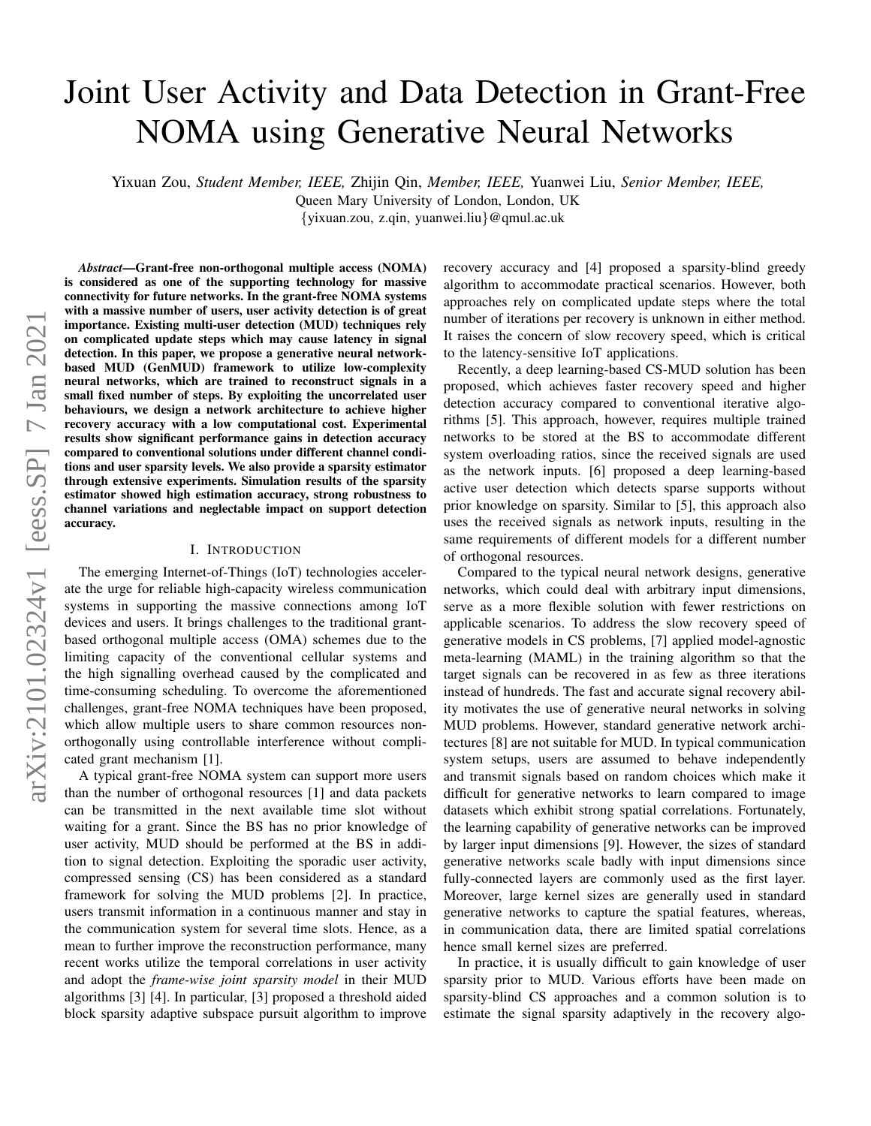# Joint User Activity and Data Detection in Grant-Free NOMA using Generative Neural Networks

Yixuan Zou, *Student Member, IEEE,* Zhijin Qin, *Member, IEEE,* Yuanwei Liu, *Senior Member, IEEE,*

Queen Mary University of London, London, UK

{yixuan.zou, z.qin, yuanwei.liu}@qmul.ac.uk

*Abstract*—Grant-free non-orthogonal multiple access (NOMA) is considered as one of the supporting technology for massive connectivity for future networks. In the grant-free NOMA systems with a massive number of users, user activity detection is of great importance. Existing multi-user detection (MUD) techniques rely on complicated update steps which may cause latency in signal detection. In this paper, we propose a generative neural networkbased MUD (GenMUD) framework to utilize low-complexity neural networks, which are trained to reconstruct signals in a small fixed number of steps. By exploiting the uncorrelated user behaviours, we design a network architecture to achieve higher recovery accuracy with a low computational cost. Experimental results show significant performance gains in detection accuracy compared to conventional solutions under different channel conditions and user sparsity levels. We also provide a sparsity estimator through extensive experiments. Simulation results of the sparsity estimator showed high estimation accuracy, strong robustness to channel variations and neglectable impact on support detection accuracy.

#### I. INTRODUCTION

The emerging Internet-of-Things (IoT) technologies accelerate the urge for reliable high-capacity wireless communication systems in supporting the massive connections among IoT devices and users. It brings challenges to the traditional grantbased orthogonal multiple access (OMA) schemes due to the limiting capacity of the conventional cellular systems and the high signalling overhead caused by the complicated and time-consuming scheduling. To overcome the aforementioned challenges, grant-free NOMA techniques have been proposed, which allow multiple users to share common resources nonorthogonally using controllable interference without complicated grant mechanism [1].

A typical grant-free NOMA system can support more users than the number of orthogonal resources [1] and data packets can be transmitted in the next available time slot without waiting for a grant. Since the BS has no prior knowledge of user activity, MUD should be performed at the BS in addition to signal detection. Exploiting the sporadic user activity, compressed sensing (CS) has been considered as a standard framework for solving the MUD problems [2]. In practice, users transmit information in a continuous manner and stay in the communication system for several time slots. Hence, as a mean to further improve the reconstruction performance, many recent works utilize the temporal correlations in user activity and adopt the *frame-wise joint sparsity model* in their MUD algorithms [3] [4]. In particular, [3] proposed a threshold aided block sparsity adaptive subspace pursuit algorithm to improve recovery accuracy and [4] proposed a sparsity-blind greedy algorithm to accommodate practical scenarios. However, both approaches rely on complicated update steps where the total number of iterations per recovery is unknown in either method. It raises the concern of slow recovery speed, which is critical to the latency-sensitive IoT applications.

Recently, a deep learning-based CS-MUD solution has been proposed, which achieves faster recovery speed and higher detection accuracy compared to conventional iterative algorithms [5]. This approach, however, requires multiple trained networks to be stored at the BS to accommodate different system overloading ratios, since the received signals are used as the network inputs. [6] proposed a deep learning-based active user detection which detects sparse supports without prior knowledge on sparsity. Similar to [5], this approach also uses the received signals as network inputs, resulting in the same requirements of different models for a different number of orthogonal resources.

Compared to the typical neural network designs, generative networks, which could deal with arbitrary input dimensions, serve as a more flexible solution with fewer restrictions on applicable scenarios. To address the slow recovery speed of generative models in CS problems, [7] applied model-agnostic meta-learning (MAML) in the training algorithm so that the target signals can be recovered in as few as three iterations instead of hundreds. The fast and accurate signal recovery ability motivates the use of generative neural networks in solving MUD problems. However, standard generative network architectures [8] are not suitable for MUD. In typical communication system setups, users are assumed to behave independently and transmit signals based on random choices which make it difficult for generative networks to learn compared to image datasets which exhibit strong spatial correlations. Fortunately, the learning capability of generative networks can be improved by larger input dimensions [9]. However, the sizes of standard generative networks scale badly with input dimensions since fully-connected layers are commonly used as the first layer. Moreover, large kernel sizes are generally used in standard generative networks to capture the spatial features, whereas, in communication data, there are limited spatial correlations hence small kernel sizes are preferred.

In practice, it is usually difficult to gain knowledge of user sparsity prior to MUD. Various efforts have been made on sparsity-blind CS approaches and a common solution is to estimate the signal sparsity adaptively in the recovery algo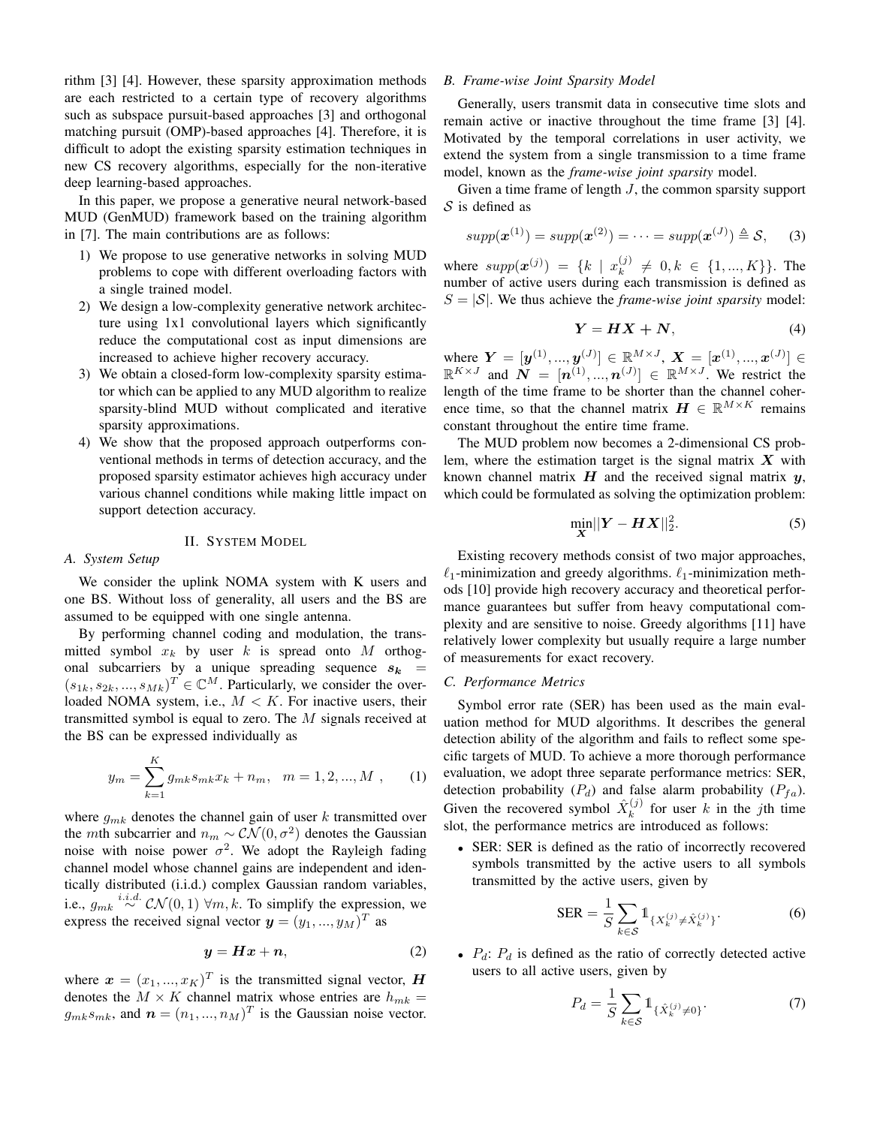rithm [3] [4]. However, these sparsity approximation methods are each restricted to a certain type of recovery algorithms such as subspace pursuit-based approaches [3] and orthogonal matching pursuit (OMP)-based approaches [4]. Therefore, it is difficult to adopt the existing sparsity estimation techniques in new CS recovery algorithms, especially for the non-iterative deep learning-based approaches.

In this paper, we propose a generative neural network-based MUD (GenMUD) framework based on the training algorithm in [7]. The main contributions are as follows:

- 1) We propose to use generative networks in solving MUD problems to cope with different overloading factors with a single trained model.
- 2) We design a low-complexity generative network architecture using 1x1 convolutional layers which significantly reduce the computational cost as input dimensions are increased to achieve higher recovery accuracy.
- 3) We obtain a closed-form low-complexity sparsity estimator which can be applied to any MUD algorithm to realize sparsity-blind MUD without complicated and iterative sparsity approximations.
- 4) We show that the proposed approach outperforms conventional methods in terms of detection accuracy, and the proposed sparsity estimator achieves high accuracy under various channel conditions while making little impact on support detection accuracy.

## II. SYSTEM MODEL

#### *A. System Setup*

We consider the uplink NOMA system with K users and one BS. Without loss of generality, all users and the BS are assumed to be equipped with one single antenna.

By performing channel coding and modulation, the transmitted symbol  $x_k$  by user k is spread onto M orthogonal subcarriers by a unique spreading sequence  $s_k$  =  $(s_{1k}, s_{2k}, ..., s_{Mk})^T \in \mathbb{C}^M$ . Particularly, we consider the overloaded NOMA system, i.e.,  $M < K$ . For inactive users, their transmitted symbol is equal to zero. The M signals received at the BS can be expressed individually as

$$
y_m = \sum_{k=1}^{K} g_{mk} s_{mk} x_k + n_m, \quad m = 1, 2, ..., M \quad (1)
$$

where  $g_{mk}$  denotes the channel gain of user k transmitted over the *m*th subcarrier and  $n_m \sim \mathcal{CN}(0, \sigma^2)$  denotes the Gaussian noise with noise power  $\sigma^2$ . We adopt the Rayleigh fading channel model whose channel gains are independent and identically distributed (i.i.d.) complex Gaussian random variables, i.e.,  $g_{mk} \stackrel{i.i.d.}{\sim} \mathcal{CN}(0,1) \ \forall m, k$ . To simplify the expression, we express the received signal vector  $\mathbf{y} = (y_1, ..., y_M)^T$  as

$$
y = Hx + n,\tag{2}
$$

where  $\mathbf{x} = (x_1, ..., x_K)^T$  is the transmitted signal vector, H denotes the  $M \times K$  channel matrix whose entries are  $h_{mk} =$  $g_{mk}s_{mk}$ , and  $\boldsymbol{n} = (n_1, ..., n_M)^T$  is the Gaussian noise vector.

#### *B. Frame-wise Joint Sparsity Model*

Generally, users transmit data in consecutive time slots and remain active or inactive throughout the time frame [3] [4]. Motivated by the temporal correlations in user activity, we extend the system from a single transmission to a time frame model, known as the *frame-wise joint sparsity* model.

Given a time frame of length J, the common sparsity support  $S$  is defined as

$$
supp(\boldsymbol{x}^{(1)}) = supp(\boldsymbol{x}^{(2)}) = \cdots = supp(\boldsymbol{x}^{(J)}) \triangleq S,
$$
 (3)

where  $supp(x^{(j)}) = \{k \mid x^{(j)}_k\}$  $k^{(j)} \neq 0, k \in \{1, ..., K\}$ . The number of active users during each transmission is defined as  $S = |\mathcal{S}|$ . We thus achieve the *frame-wise joint sparsity* model:

$$
Y = HX + N,\tag{4}
$$

where  $Y = [y^{(1)}, ..., y^{(J)}] \in \mathbb{R}^{M \times J}$ ,  $X = [x^{(1)}, ..., x^{(J)}] \in$  $\mathbb{R}^{K \times J}$  and  $\mathbf{N} = [\mathbf{n}^{(1)},...,\mathbf{n}^{(J)}] \in \mathbb{R}^{M \times J}$ . We restrict the length of the time frame to be shorter than the channel coherence time, so that the channel matrix  $\mathbf{H} \in \mathbb{R}^{M \times K}$  remains constant throughout the entire time frame.

The MUD problem now becomes a 2-dimensional CS problem, where the estimation target is the signal matrix  $X$  with known channel matrix  $H$  and the received signal matrix  $y$ , which could be formulated as solving the optimization problem:

$$
\min_{\mathbf{X}} \|\mathbf{Y} - \mathbf{H}\mathbf{X}\|_2^2. \tag{5}
$$

Existing recovery methods consist of two major approaches,  $\ell_1$ -minimization and greedy algorithms.  $\ell_1$ -minimization methods [10] provide high recovery accuracy and theoretical performance guarantees but suffer from heavy computational complexity and are sensitive to noise. Greedy algorithms [11] have relatively lower complexity but usually require a large number of measurements for exact recovery.

#### *C. Performance Metrics*

Symbol error rate (SER) has been used as the main evaluation method for MUD algorithms. It describes the general detection ability of the algorithm and fails to reflect some specific targets of MUD. To achieve a more thorough performance evaluation, we adopt three separate performance metrics: SER, detection probability  $(P_d)$  and false alarm probability  $(P_{fa})$ . Given the recovered symbol  $\hat{X}_k^{(j)}$  $\binom{f^{(j)}}{k}$  for user k in the jth time slot, the performance metrics are introduced as follows:

• SER: SER is defined as the ratio of incorrectly recovered symbols transmitted by the active users to all symbols transmitted by the active users, given by

$$
SER = \frac{1}{S} \sum_{k \in S} \mathbb{1}_{\{X_k^{(j)} \neq \hat{X}_k^{(j)}\}}.
$$
 (6)

•  $P_d$ :  $P_d$  is defined as the ratio of correctly detected active users to all active users, given by

$$
P_d = \frac{1}{S} \sum_{k \in S} 1_{\{\hat{X}_k^{(j)} \neq 0\}}.
$$
 (7)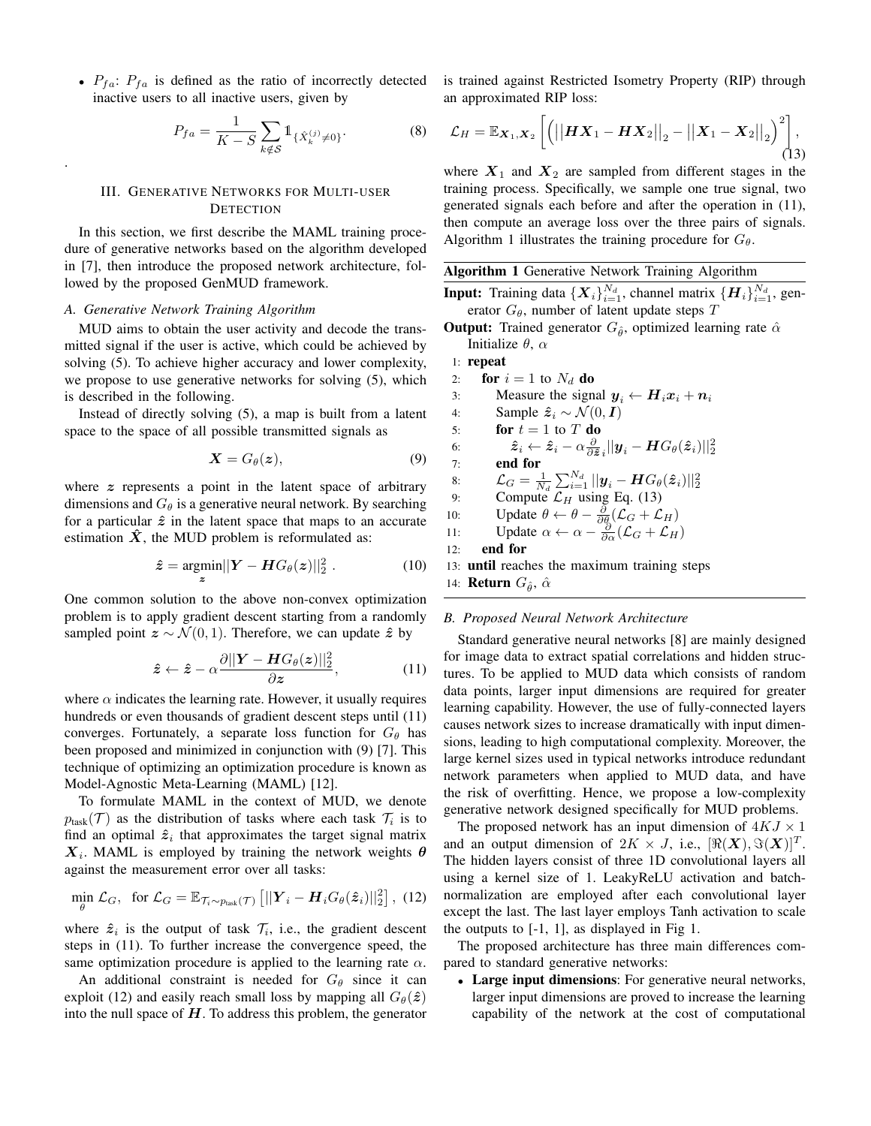•  $P_{fa}$ :  $P_{fa}$  is defined as the ratio of incorrectly detected inactive users to all inactive users, given by

$$
P_{fa} = \frac{1}{K - S} \sum_{k \notin S} 1_{\{\hat{X}_k^{(j)} \neq 0\}}.
$$
 (8)

#### III. GENERATIVE NETWORKS FOR MULTI-USER **DETECTION**

In this section, we first describe the MAML training procedure of generative networks based on the algorithm developed in [7], then introduce the proposed network architecture, followed by the proposed GenMUD framework.

#### *A. Generative Network Training Algorithm*

.

MUD aims to obtain the user activity and decode the transmitted signal if the user is active, which could be achieved by solving (5). To achieve higher accuracy and lower complexity, we propose to use generative networks for solving (5), which is described in the following.

Instead of directly solving (5), a map is built from a latent space to the space of all possible transmitted signals as

$$
\mathbf{X} = G_{\theta}(\mathbf{z}),\tag{9}
$$

where  $z$  represents a point in the latent space of arbitrary dimensions and  $G_{\theta}$  is a generative neural network. By searching for a particular  $\hat{z}$  in the latent space that maps to an accurate estimation  $\hat{X}$ , the MUD problem is reformulated as:

$$
\hat{z} = \underset{z}{\operatorname{argmin}} ||\mathbf{Y} - \mathbf{H} G_{\theta}(z)||_2^2.
$$
 (10)

One common solution to the above non-convex optimization problem is to apply gradient descent starting from a randomly sampled point  $z \sim \mathcal{N}(0, 1)$ . Therefore, we can update  $\hat{z}$  by

$$
\hat{\boldsymbol{z}} \leftarrow \hat{\boldsymbol{z}} - \alpha \frac{\partial ||\boldsymbol{Y} - \boldsymbol{H} G_{\theta}(\boldsymbol{z})||_2^2}{\partial \boldsymbol{z}}, \tag{11}
$$

where  $\alpha$  indicates the learning rate. However, it usually requires hundreds or even thousands of gradient descent steps until (11) converges. Fortunately, a separate loss function for  $G_{\theta}$  has been proposed and minimized in conjunction with (9) [7]. This technique of optimizing an optimization procedure is known as Model-Agnostic Meta-Learning (MAML) [12].

To formulate MAML in the context of MUD, we denote  $p_{\text{task}}(\mathcal{T})$  as the distribution of tasks where each task  $\mathcal{T}_i$  is to find an optimal  $\hat{z}_i$  that approximates the target signal matrix  $X_i$ . MAML is employed by training the network weights  $\theta$ against the measurement error over all tasks:

$$
\min_{\theta} \mathcal{L}_G, \text{ for } \mathcal{L}_G = \mathbb{E}_{\mathcal{T}_i \sim p_{\text{task}}(\mathcal{T})} \left[ ||\boldsymbol{Y}_i - \boldsymbol{H}_i G_{\theta}(\hat{\boldsymbol{z}}_i)||_2^2 \right], (12)
$$

where  $\hat{z}_i$  is the output of task  $\mathcal{T}_i$ , i.e., the gradient descent steps in (11). To further increase the convergence speed, the same optimization procedure is applied to the learning rate  $\alpha$ .

An additional constraint is needed for  $G_{\theta}$  since it can exploit (12) and easily reach small loss by mapping all  $G_{\theta}(\hat{\boldsymbol{z}})$ into the null space of  $H$ . To address this problem, the generator is trained against Restricted Isometry Property (RIP) through an approximated RIP loss:

$$
\mathcal{L}_H = \mathbb{E}_{\mathbf{X}_1, \mathbf{X}_2} \left[ \left( \left| \left| \mathbf{H} \mathbf{X}_1 - \mathbf{H} \mathbf{X}_2 \right| \right|_2 - \left| \left| \mathbf{X}_1 - \mathbf{X}_2 \right| \right|_2 \right)^2 \right], \tag{13}
$$

where  $X_1$  and  $X_2$  are sampled from different stages in the training process. Specifically, we sample one true signal, two generated signals each before and after the operation in (11), then compute an average loss over the three pairs of signals. Algorithm 1 illustrates the training procedure for  $G_{\theta}$ .

#### Algorithm 1 Generative Network Training Algorithm

**Input:** Training data  $\{X_i\}_{i=1}^{N_d}$ , channel matrix  $\{H_i\}_{i=1}^{N_d}$ , generator  $G_{\theta}$ , number of latent update steps T

**Output:** Trained generator  $G_{\hat{\theta}}$ , optimized learning rate  $\hat{\alpha}$ Initialize  $\theta$ ,  $\alpha$ 

## 1: repeat

2: for  $i = 1$  to  $N_d$  do 3: Measure the signal  $y_i \leftarrow H_i x_i + n_i$ 4: Sample  $\hat{z}_i \sim \mathcal{N}(0, I)$ 5: **for**  $t = 1$  to  $T$  do 6:  $\hat{\boldsymbol{z}}_i \leftarrow \hat{\boldsymbol{z}}_i - \alpha \frac{\partial}{\partial \hat{\boldsymbol{z}}}_i ||\boldsymbol{y}_i - \boldsymbol{H} G_{\theta}(\hat{\boldsymbol{z}}_i)||^2_2$ 7: end for 8:  $\mathcal{L}_G = \frac{1}{N_d} \sum_{i=1}^{N_d} ||\mathbf{y}_i - \mathbf{H} G_{\theta}(\hat{\mathbf{z}}_i)||_2^2$ <br>9: Compute  $\mathcal{L}_H$  using Eq. (13) 10: Update  $\theta \leftarrow \theta - \frac{\partial}{\partial \theta} (\mathcal{L}_G + \mathcal{L}_H)$ 11: Update  $\alpha \leftarrow \alpha - \frac{\partial}{\partial \alpha} (\mathcal{L}_G + \mathcal{L}_H)$ 

12: end for

13: until reaches the maximum training steps

14: **Return**  $G_{\hat{\theta}}$ ,  $\hat{\alpha}$ 

#### *B. Proposed Neural Network Architecture*

Standard generative neural networks [8] are mainly designed for image data to extract spatial correlations and hidden structures. To be applied to MUD data which consists of random data points, larger input dimensions are required for greater learning capability. However, the use of fully-connected layers causes network sizes to increase dramatically with input dimensions, leading to high computational complexity. Moreover, the large kernel sizes used in typical networks introduce redundant network parameters when applied to MUD data, and have the risk of overfitting. Hence, we propose a low-complexity generative network designed specifically for MUD problems.

The proposed network has an input dimension of  $4KJ \times 1$ and an output dimension of  $2K \times J$ , i.e.,  $[\Re(X), \Im(X)]^T$ . The hidden layers consist of three 1D convolutional layers all using a kernel size of 1. LeakyReLU activation and batchnormalization are employed after each convolutional layer except the last. The last layer employs Tanh activation to scale the outputs to  $[-1, 1]$ , as displayed in Fig 1.

The proposed architecture has three main differences compared to standard generative networks:

• Large input dimensions: For generative neural networks, larger input dimensions are proved to increase the learning capability of the network at the cost of computational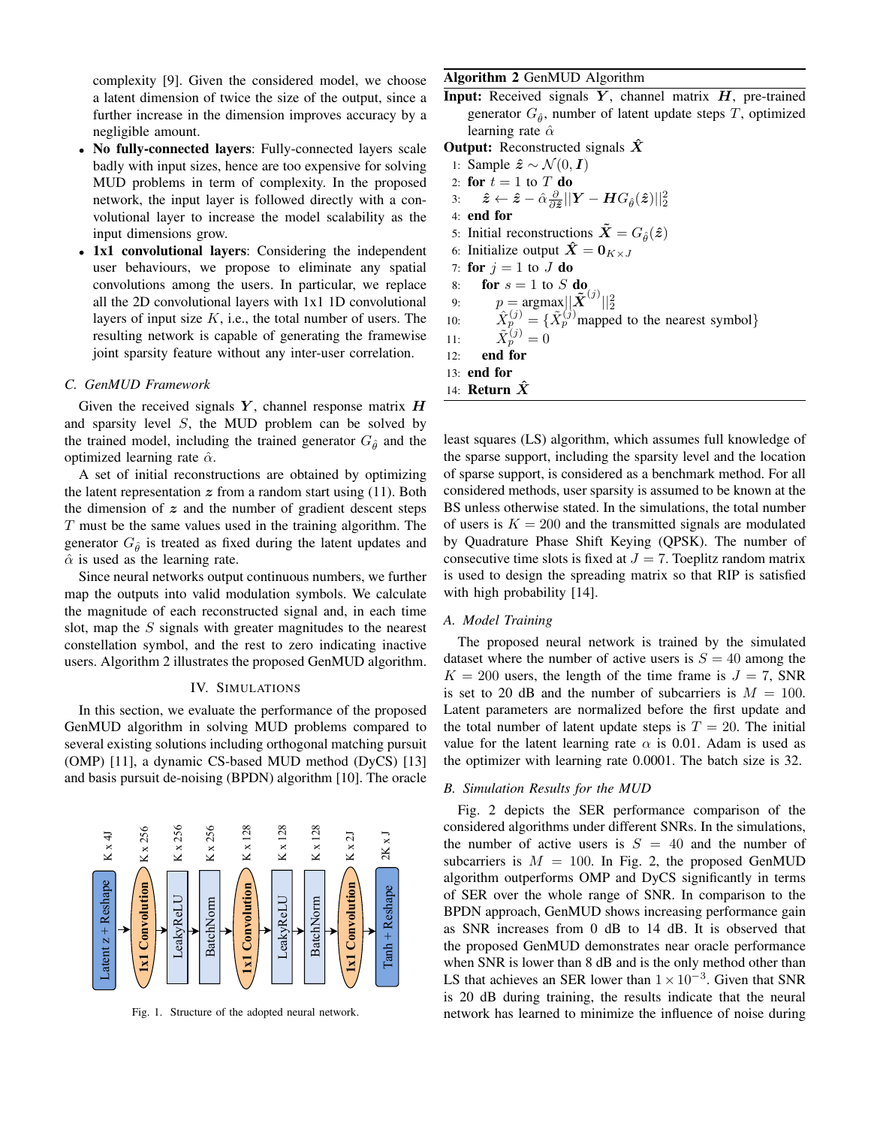complexity [9]. Given the considered model, we choose a latent dimension of twice the size of the output, since a further increase in the dimension improves accuracy by a negligible amount.

- No fully-connected layers: Fully-connected layers scale badly with input sizes, hence are too expensive for solving MUD problems in term of complexity. In the proposed network, the input layer is followed directly with a convolutional layer to increase the model scalability as the input dimensions grow.
- 1x1 convolutional layers: Considering the independent user behaviours, we propose to eliminate any spatial convolutions among the users. In particular, we replace all the 2D convolutional layers with 1x1 1D convolutional layers of input size  $K$ , i.e., the total number of users. The resulting network is capable of generating the framewise joint sparsity feature without any inter-user correlation.

#### *C. GenMUD Framework*

Given the received signals  $Y$ , channel response matrix  $H$ and sparsity level S, the MUD problem can be solved by the trained model, including the trained generator  $G_{\hat{\theta}}$  and the optimized learning rate  $\hat{\alpha}$ .

A set of initial reconstructions are obtained by optimizing the latent representation  $z$  from a random start using (11). Both the dimension of  $z$  and the number of gradient descent steps  $T$  must be the same values used in the training algorithm. The generator  $G_{\hat{\theta}}$  is treated as fixed during the latent updates and  $\hat{\alpha}$  is used as the learning rate.

Since neural networks output continuous numbers, we further map the outputs into valid modulation symbols. We calculate the magnitude of each reconstructed signal and, in each time slot, map the S signals with greater magnitudes to the nearest constellation symbol, and the rest to zero indicating inactive users. Algorithm 2 illustrates the proposed GenMUD algorithm.

#### IV. SIMULATIONS

In this section, we evaluate the performance of the proposed GenMUD algorithm in solving MUD problems compared to several existing solutions including orthogonal matching pursuit (OMP) [11], a dynamic CS-based MUD method (DyCS) [13] and basis pursuit de-noising (BPDN) algorithm [10]. The oracle



Fig. 1. Structure of the adopted neural network.

# Algorithm 2 GenMUD Algorithm

**Input:** Received signals  $Y$ , channel matrix  $H$ , pre-trained generator  $G_{\hat{\theta}}$ , number of latent update steps T, optimized learning rate  $\hat{\alpha}$ 

**Output:** Reconstructed signals  $\hat{X}$ 1: Sample  $\hat{z} \sim \mathcal{N}(0, I)$ 2: for  $t = 1$  to  $T$  do 3:  $\hat{\boldsymbol{z}} \leftarrow \hat{\boldsymbol{z}} - \hat{\alpha} \frac{\partial}{\partial \hat{\boldsymbol{z}} } || \boldsymbol{Y} - \boldsymbol{H} G_{\hat{\theta}} (\hat{\boldsymbol{z}}) ||_2^2$ 4: end for 5: Initial reconstructions  $\tilde{\mathbf{X}} = G_{\hat{\mathfrak{a}}}(\hat{\mathfrak{z}})$ 6: Initialize output  $\hat{\mathbf{X}} = \mathbf{0}_{K \times J}$ 7: for  $j = 1$  to  $J$  do 8: for  $s = 1$  to S do 9:  $p = \text{argmax} ||\tilde{\boldsymbol{X}}^{(j)}||_2^2$ 10:  $\hat{X}_p^{(j)} = {\{\tilde{X}_p^{(j)}\text{mapped to the nearest symbol}\}}$ 11:  $\tilde{X}_p^{(j)} = 0$ 12: end for 13: end for 14: **Return**  $\hat{X}$ 

least squares (LS) algorithm, which assumes full knowledge of the sparse support, including the sparsity level and the location of sparse support, is considered as a benchmark method. For all considered methods, user sparsity is assumed to be known at the BS unless otherwise stated. In the simulations, the total number of users is  $K = 200$  and the transmitted signals are modulated by Quadrature Phase Shift Keying (QPSK). The number of consecutive time slots is fixed at  $J = 7$ . Toeplitz random matrix is used to design the spreading matrix so that RIP is satisfied with high probability [14].

## *A. Model Training*

The proposed neural network is trained by the simulated dataset where the number of active users is  $S = 40$  among the  $K = 200$  users, the length of the time frame is  $J = 7$ , SNR is set to 20 dB and the number of subcarriers is  $M = 100$ . Latent parameters are normalized before the first update and the total number of latent update steps is  $T = 20$ . The initial value for the latent learning rate  $\alpha$  is 0.01. Adam is used as the optimizer with learning rate 0.0001. The batch size is 32.

#### *B. Simulation Results for the MUD*

Fig. 2 depicts the SER performance comparison of the considered algorithms under different SNRs. In the simulations, the number of active users is  $S = 40$  and the number of subcarriers is  $M = 100$ . In Fig. 2, the proposed GenMUD algorithm outperforms OMP and DyCS significantly in terms of SER over the whole range of SNR. In comparison to the BPDN approach, GenMUD shows increasing performance gain as SNR increases from 0 dB to 14 dB. It is observed that the proposed GenMUD demonstrates near oracle performance when SNR is lower than 8 dB and is the only method other than LS that achieves an SER lower than  $1 \times 10^{-3}$ . Given that SNR is 20 dB during training, the results indicate that the neural network has learned to minimize the influence of noise during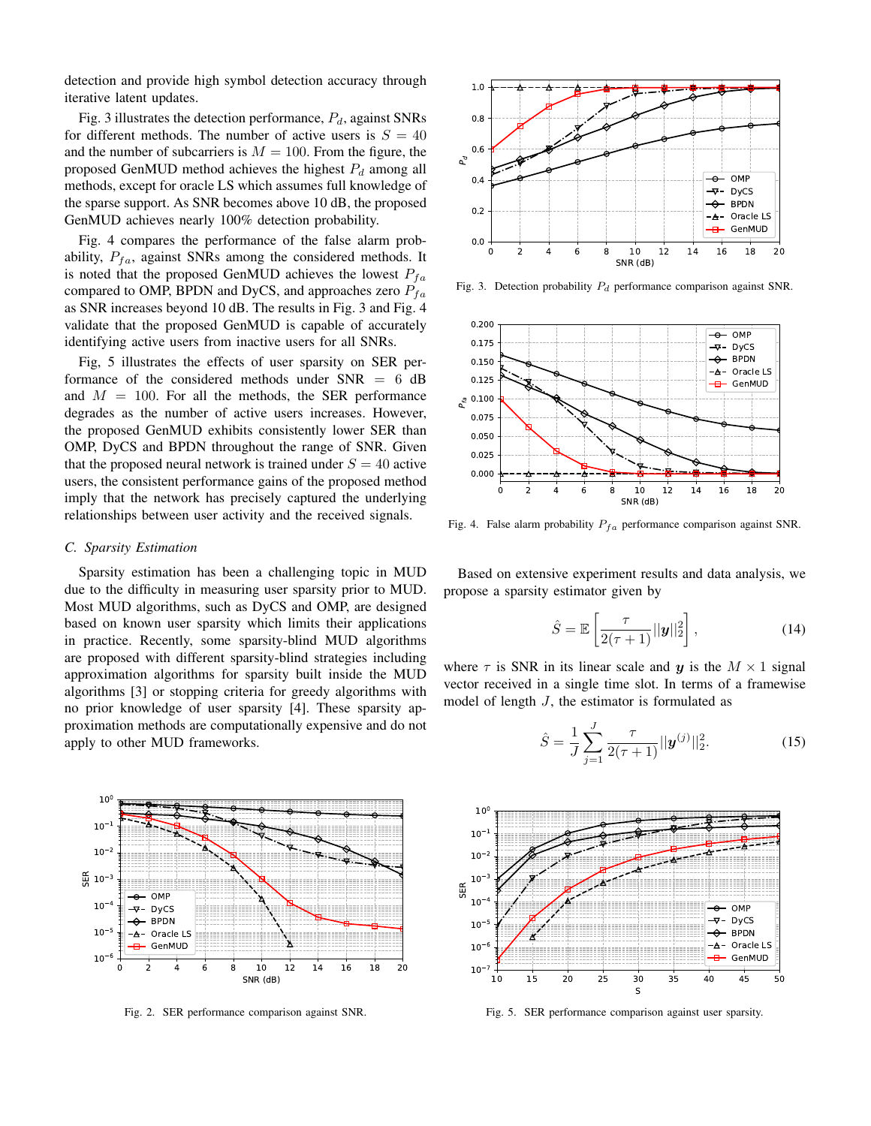detection and provide high symbol detection accuracy through iterative latent updates.

Fig. 3 illustrates the detection performance,  $P_d$ , against SNRs for different methods. The number of active users is  $S = 40$ and the number of subcarriers is  $M = 100$ . From the figure, the proposed GenMUD method achieves the highest  $P_d$  among all methods, except for oracle LS which assumes full knowledge of the sparse support. As SNR becomes above 10 dB, the proposed GenMUD achieves nearly 100% detection probability.

Fig. 4 compares the performance of the false alarm probability,  $P_{fa}$ , against SNRs among the considered methods. It is noted that the proposed GenMUD achieves the lowest  $P_{fa}$ compared to OMP, BPDN and DyCS, and approaches zero  $P_{fa}$ as SNR increases beyond 10 dB. The results in Fig. 3 and Fig. 4 validate that the proposed GenMUD is capable of accurately identifying active users from inactive users for all SNRs.

Fig, 5 illustrates the effects of user sparsity on SER performance of the considered methods under  $SNR = 6$  dB and  $M = 100$ . For all the methods, the SER performance degrades as the number of active users increases. However, the proposed GenMUD exhibits consistently lower SER than OMP, DyCS and BPDN throughout the range of SNR. Given that the proposed neural network is trained under  $S = 40$  active users, the consistent performance gains of the proposed method imply that the network has precisely captured the underlying relationships between user activity and the received signals.

#### *C. Sparsity Estimation*

Sparsity estimation has been a challenging topic in MUD due to the difficulty in measuring user sparsity prior to MUD. Most MUD algorithms, such as DyCS and OMP, are designed based on known user sparsity which limits their applications in practice. Recently, some sparsity-blind MUD algorithms are proposed with different sparsity-blind strategies including approximation algorithms for sparsity built inside the MUD algorithms [3] or stopping criteria for greedy algorithms with no prior knowledge of user sparsity [4]. These sparsity approximation methods are computationally expensive and do not apply to other MUD frameworks.



Fig. 2. SER performance comparison against SNR.



Fig. 3. Detection probability  $P_d$  performance comparison against SNR.



Fig. 4. False alarm probability  $P_{fa}$  performance comparison against SNR.

Based on extensive experiment results and data analysis, we propose a sparsity estimator given by

$$
\hat{S} = \mathbb{E}\left[\frac{\tau}{2(\tau+1)}||\mathbf{y}||_2^2\right],\tag{14}
$$

where  $\tau$  is SNR in its linear scale and y is the  $M \times 1$  signal vector received in a single time slot. In terms of a framewise model of length  $J$ , the estimator is formulated as

$$
\hat{S} = \frac{1}{J} \sum_{j=1}^{J} \frac{\tau}{2(\tau + 1)} ||\mathbf{y}^{(j)}||_2^2.
$$
 (15)



Fig. 5. SER performance comparison against user sparsity.